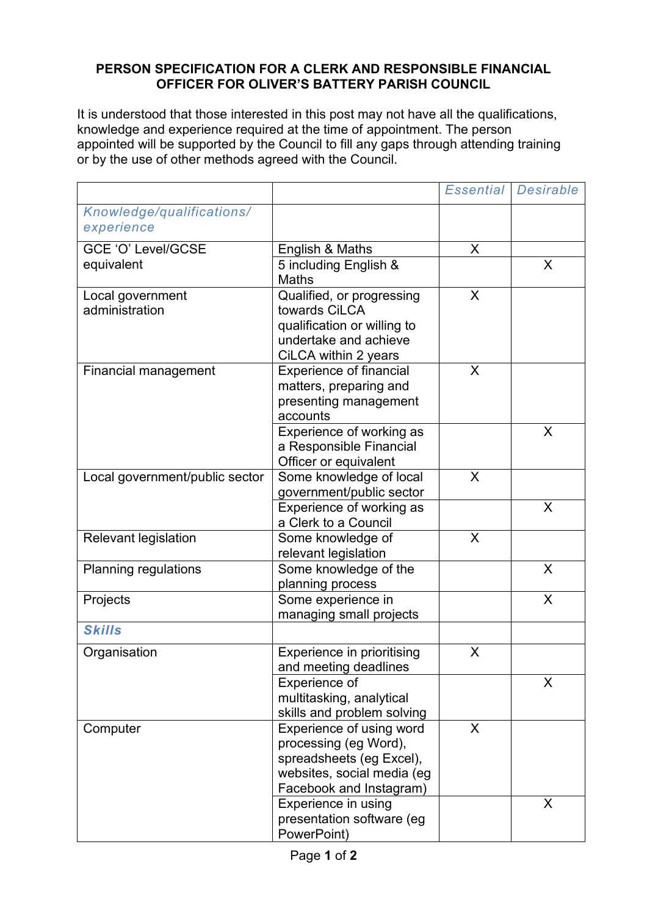## **PERSON SPECIFICATION FOR A CLERK AND RESPONSIBLE FINANCIAL OFFICER FOR OLIVER'S BATTERY PARISH COUNCIL**

It is understood that those interested in this post may not have all the qualifications, knowledge and experience required at the time of appointment. The person appointed will be supported by the Council to fill any gaps through attending training or by the use of other methods agreed with the Council.

|                                         |                                                                                                                                        | <b>Essential</b> | Desirable |
|-----------------------------------------|----------------------------------------------------------------------------------------------------------------------------------------|------------------|-----------|
| Knowledge/qualifications/<br>experience |                                                                                                                                        |                  |           |
| GCE 'O' Level/GCSE                      | English & Maths                                                                                                                        | X                |           |
| equivalent                              | 5 including English &<br><b>Maths</b>                                                                                                  |                  | X         |
| Local government<br>administration      | Qualified, or progressing<br>towards CiLCA<br>qualification or willing to<br>undertake and achieve<br>CiLCA within 2 years             | X                |           |
| <b>Financial management</b>             | <b>Experience of financial</b><br>matters, preparing and<br>presenting management<br>accounts                                          | X                |           |
|                                         | Experience of working as<br>a Responsible Financial<br>Officer or equivalent                                                           |                  | X         |
| Local government/public sector          | Some knowledge of local<br>government/public sector                                                                                    | X                |           |
|                                         | Experience of working as<br>a Clerk to a Council                                                                                       |                  | X         |
| <b>Relevant legislation</b>             | Some knowledge of<br>relevant legislation                                                                                              | X                |           |
| <b>Planning regulations</b>             | Some knowledge of the<br>planning process                                                                                              |                  | $\sf X$   |
| Projects                                | Some experience in<br>managing small projects                                                                                          |                  | X         |
| <b>Skills</b>                           |                                                                                                                                        |                  |           |
| Organisation                            | Experience in prioritising<br>and meeting deadlines                                                                                    | X                |           |
|                                         | Experience of<br>multitasking, analytical<br>skills and problem solving                                                                |                  | X         |
| Computer                                | Experience of using word<br>processing (eg Word),<br>spreadsheets (eg Excel),<br>websites, social media (eg<br>Facebook and Instagram) | X                |           |
|                                         | Experience in using<br>presentation software (eg<br>PowerPoint)                                                                        |                  | X         |